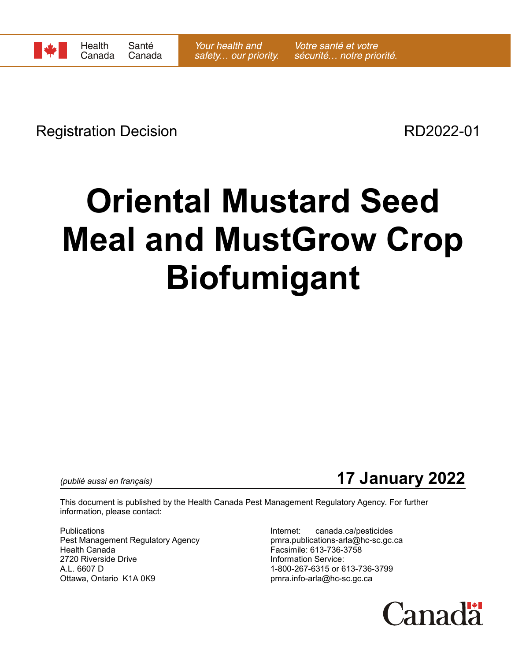Registration Decision **RD2022-01** 

## **Oriental Mustard Seed Meal and MustGrow Crop Biofumigant**



This document is published by the Health Canada Pest Management Regulatory Agency. For further information, please contact:

Publications **Internet:** canada.ca/pesticides Pest Management Regulatory Agency entity and pmra.publications-arla@hc-sc.gc.ca Health Canada Facsimile: 613-736-3758 2720 Riverside Drive **Information Service:** A.L. 6607 D 1-800-267-6315 or 613-736-3799 Ottawa, Ontario K1A 0K9 eta alian eta alian batuara pmra.info-arla@hc-sc.gc.ca

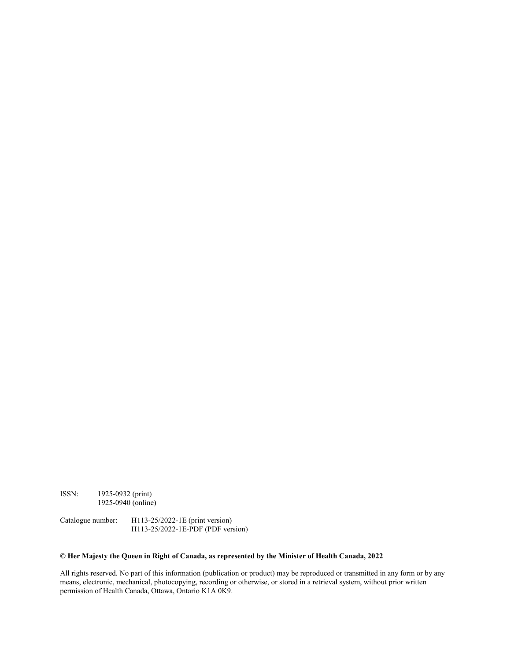ISSN: 1925-0932 (print) 1925-0940 (online)

Catalogue number: H113-25/2022-1E (print version) H113-25/2022-1E-PDF (PDF version)

## **© Her Majesty the Queen in Right of Canada, as represented by the Minister of Health Canada, 2022**

All rights reserved. No part of this information (publication or product) may be reproduced or transmitted in any form or by any means, electronic, mechanical, photocopying, recording or otherwise, or stored in a retrieval system, without prior written permission of Health Canada, Ottawa, Ontario K1A 0K9.